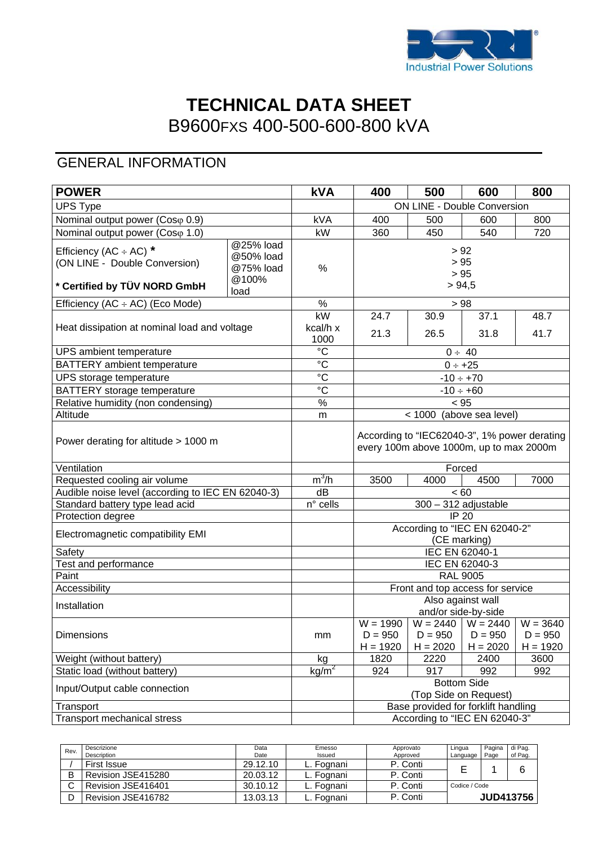

# **TECHNICAL DATA SHEET** B9600FXS 400-500-600-800 kVA

# GENERAL INFORMATION

| <b>POWER</b>                                                                                 |                                                      | <b>kVA</b>                                 | 400                                                                                     | 500                                  | 600                                              | 800                                   |
|----------------------------------------------------------------------------------------------|------------------------------------------------------|--------------------------------------------|-----------------------------------------------------------------------------------------|--------------------------------------|--------------------------------------------------|---------------------------------------|
| <b>UPS Type</b>                                                                              |                                                      |                                            | ON LINE - Double Conversion                                                             |                                      |                                                  |                                       |
| Nominal output power (Cosφ 0.9)                                                              |                                                      | <b>kVA</b>                                 | 400                                                                                     | 500                                  | 600                                              | 800                                   |
| Nominal output power (Coso 1.0)                                                              |                                                      | kW                                         | 360                                                                                     | 450                                  | 540                                              | 720                                   |
| Efficiency (AC $\div$ AC) *<br>(ON LINE - Double Conversion)<br>* Certified by TÜV NORD GmbH | @25% load<br>@50% load<br>@75% load<br>@100%<br>load | $\%$                                       | > 92<br>> 95<br>> 95<br>> 94,5                                                          |                                      |                                                  |                                       |
| Efficiency (AC $\div$ AC) (Eco Mode)                                                         |                                                      | %                                          | > 98                                                                                    |                                      |                                                  |                                       |
| Heat dissipation at nominal load and voltage                                                 |                                                      | $\overline{\text{KW}}$<br>kcal/h x<br>1000 | 24.7<br>21.3                                                                            | 30.9<br>26.5                         | 37.1<br>31.8                                     | 48.7<br>41.7                          |
| UPS ambient temperature                                                                      |                                                      | $\overline{c}$                             |                                                                                         |                                      | $0 \div 40$                                      |                                       |
| BATTERY ambient temperature                                                                  |                                                      | $\overline{c}$                             | $0 \div +25$                                                                            |                                      |                                                  |                                       |
| UPS storage temperature                                                                      |                                                      | $\overline{C}$                             |                                                                                         |                                      | $-10 \div +70$                                   |                                       |
| BATTERY storage temperature                                                                  |                                                      | $\rm ^{\circ}C$                            | $-10 \div +60$                                                                          |                                      |                                                  |                                       |
| Relative humidity (non condensing)                                                           |                                                      | $\frac{1}{2}$                              | < 95                                                                                    |                                      |                                                  |                                       |
| Altitude                                                                                     |                                                      | m                                          |                                                                                         |                                      | < 1000 (above sea level)                         |                                       |
| Power derating for altitude > 1000 m                                                         |                                                      |                                            | According to "IEC62040-3", 1% power derating<br>every 100m above 1000m, up to max 2000m |                                      |                                                  |                                       |
| Ventilation                                                                                  |                                                      |                                            |                                                                                         |                                      | Forced                                           |                                       |
| Requested cooling air volume                                                                 |                                                      | $m^3/h$                                    | 3500<br>4000<br>4500<br>7000                                                            |                                      |                                                  |                                       |
| Audible noise level (according to IEC EN 62040-3)                                            |                                                      | dB                                         | < 60                                                                                    |                                      |                                                  |                                       |
| Standard battery type lead acid                                                              |                                                      | n° cells                                   | $300 - 312$ adjustable                                                                  |                                      |                                                  |                                       |
| Protection degree                                                                            |                                                      |                                            | <b>IP 20</b>                                                                            |                                      |                                                  |                                       |
| Electromagnetic compatibility EMI                                                            |                                                      |                                            | According to "IEC EN 62040-2"<br>(CE marking)                                           |                                      |                                                  |                                       |
| Safety                                                                                       |                                                      |                                            | IEC EN 62040-1                                                                          |                                      |                                                  |                                       |
| Test and performance                                                                         |                                                      |                                            | IEC EN 62040-3                                                                          |                                      |                                                  |                                       |
| Paint                                                                                        |                                                      |                                            | <b>RAL 9005</b>                                                                         |                                      |                                                  |                                       |
| Accessibility                                                                                |                                                      |                                            |                                                                                         | Front and top access for service     |                                                  |                                       |
| Installation                                                                                 |                                                      |                                            | Also against wall<br>and/or side-by-side                                                |                                      |                                                  |                                       |
| Dimensions                                                                                   |                                                      | mm                                         | $W = 1990$<br>$D = 950$<br>$H = 1920$                                                   | $D = 950$<br>$H = 2020$              | $W = 2440$ $W = 2440$<br>$D = 950$<br>$H = 2020$ | $W = 3640$<br>$D = 950$<br>$H = 1920$ |
| Weight (without battery)                                                                     |                                                      | kg                                         | 1820                                                                                    | 2220                                 | 2400                                             | 3600                                  |
| Static load (without battery)                                                                |                                                      | kg/m <sup>2</sup>                          | 924                                                                                     | 917                                  | 992                                              | 992                                   |
| Input/Output cable connection                                                                |                                                      |                                            |                                                                                         | Bottom Side<br>(Top Side on Request) |                                                  |                                       |
| Transport                                                                                    |                                                      |                                            |                                                                                         | Base provided for forklift handling  |                                                  |                                       |
| Transport mechanical stress                                                                  |                                                      |                                            | According to "IEC EN 62040-3"                                                           |                                      |                                                  |                                       |

| Rev. | Descrizione        | Data     | Emesso     | Lingua<br>Approvato |               | Pagina | di Pag.          |
|------|--------------------|----------|------------|---------------------|---------------|--------|------------------|
|      | Description        | Date     | Issued     | Approved            | Language      | Page   | of Pag.          |
|      | <b>First Issue</b> | 29.12.10 | L. Fognani | P. Conti            |               |        | 6                |
|      | Revision JSE415280 | 20.03.12 | L. Fognani | P. Conti            |               |        |                  |
|      | Revision JSE416401 | 30.10.12 | L. Fognani | P. Conti            | Codice / Code |        |                  |
|      | Revision JSE416782 | 13.03.13 | ∟. Fognani | P. Conti            |               |        | <b>JUD413756</b> |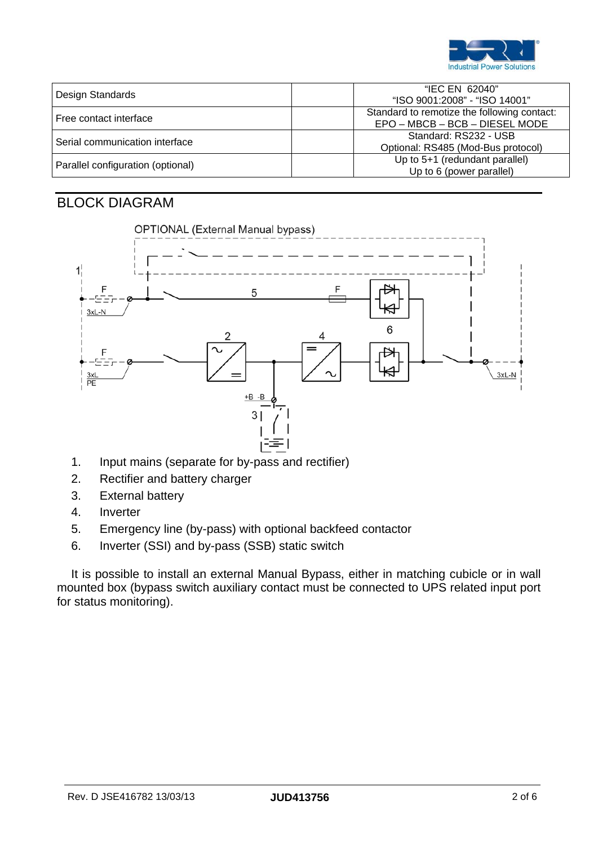

| Design Standards                  | "IEC EN 62040"<br>"ISO 9001:2008" - "ISO 14001"                               |
|-----------------------------------|-------------------------------------------------------------------------------|
| Free contact interface            | Standard to remotize the following contact:<br>EPO - MBCB - BCB - DIESEL MODE |
| Serial communication interface    | Standard: RS232 - USB<br>Optional: RS485 (Mod-Bus protocol)                   |
| Parallel configuration (optional) | Up to 5+1 (redundant parallel)<br>Up to 6 (power parallel)                    |

### BLOCK DIAGRAM



- 1. Input mains (separate for by-pass and rectifier)
- 2. Rectifier and battery charger
- 3. External battery
- 4. Inverter
- 5. Emergency line (by-pass) with optional backfeed contactor
- 6. Inverter (SSI) and by-pass (SSB) static switch

It is possible to install an external Manual Bypass, either in matching cubicle or in wall mounted box (bypass switch auxiliary contact must be connected to UPS related input port for status monitoring).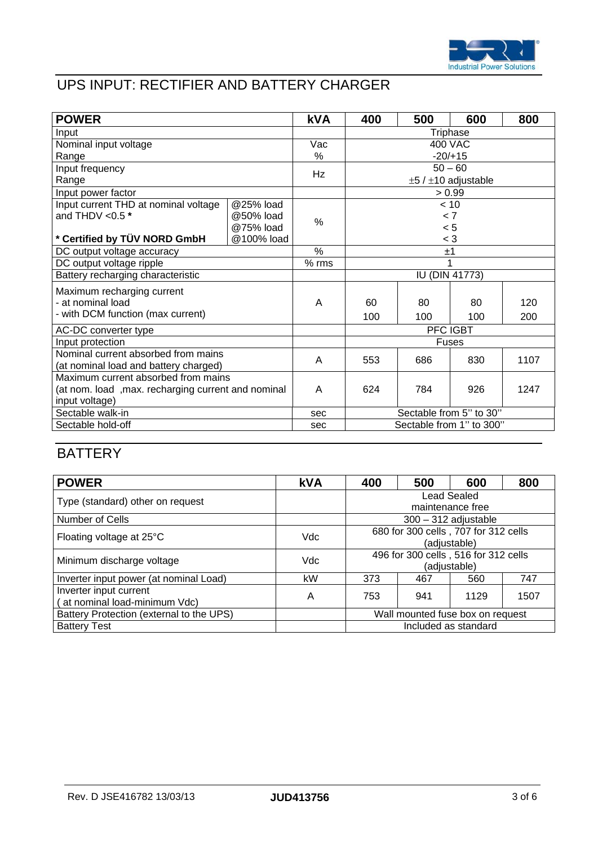

# UPS INPUT: RECTIFIER AND BATTERY CHARGER

| <b>POWER</b>                                       |            | <b>kVA</b> | 400                           | 500     | 600       | 800  |  |
|----------------------------------------------------|------------|------------|-------------------------------|---------|-----------|------|--|
| Input                                              |            |            | Triphase                      |         |           |      |  |
| Nominal input voltage                              |            | Vac        |                               | 400 VAC |           |      |  |
| Range                                              |            | %          |                               |         | $-20/+15$ |      |  |
| Input frequency                                    |            | Hz         | $50 - 60$                     |         |           |      |  |
| Range                                              |            |            | $\pm 5$ / $\pm 10$ adjustable |         |           |      |  |
| Input power factor                                 |            |            | > 0.99                        |         |           |      |  |
| Input current THD at nominal voltage               | @25% load  |            |                               |         | < 10      |      |  |
| and THDV < $0.5*$                                  | @50% load  | $\%$       | < 7                           |         |           |      |  |
|                                                    | @75% load  |            |                               |         | < 5       |      |  |
| * Certified by TÜV NORD GmbH                       | @100% load |            | $<$ 3                         |         |           |      |  |
| DC output voltage accuracy                         |            | %          | ±1                            |         |           |      |  |
| DC output voltage ripple                           |            | $%$ rms    |                               |         |           |      |  |
| Battery recharging characteristic                  |            |            | $\overline{IU}$ (DIN 41773)   |         |           |      |  |
| Maximum recharging current                         |            |            |                               |         |           |      |  |
| - at nominal load                                  |            | A          | 60                            | 80      | 80        | 120  |  |
| - with DCM function (max current)                  |            |            | 100                           | 100     | 100       | 200  |  |
| AC-DC converter type                               |            |            | PFC IGBT                      |         |           |      |  |
| Input protection                                   |            |            | Fuses                         |         |           |      |  |
| Nominal current absorbed from mains                |            | A          | 553                           | 686     | 830       | 1107 |  |
| (at nominal load and battery charged)              |            |            |                               |         |           |      |  |
| Maximum current absorbed from mains                |            |            |                               |         |           |      |  |
| (at nom. load, max. recharging current and nominal |            | A          | 624                           | 784     | 926       | 1247 |  |
| input voltage)                                     |            |            |                               |         |           |      |  |
| Sectable walk-in                                   |            | sec        | Sectable from 5" to 30"       |         |           |      |  |
| Sectable hold-off                                  |            | sec        | Sectable from 1" to 300"      |         |           |      |  |

## **BATTERY**

| <b>POWER</b>                                            | <b>kVA</b> | 400                                                  | 500 | 600  | 800  |
|---------------------------------------------------------|------------|------------------------------------------------------|-----|------|------|
| Type (standard) other on request                        |            | Lead Sealed<br>maintenance free                      |     |      |      |
| Number of Cells                                         |            | $300 - 312$ adjustable                               |     |      |      |
| Floating voltage at 25°C                                | Vdc        | 680 for 300 cells, 707 for 312 cells<br>(adjustable) |     |      |      |
| Minimum discharge voltage                               | Vdc        | 496 for 300 cells, 516 for 312 cells<br>(adjustable) |     |      |      |
| Inverter input power (at nominal Load)                  | kW         | 373                                                  | 467 | 560  | 747  |
| Inverter input current<br>(at nominal load-minimum Vdc) | A          | 753                                                  | 941 | 1129 | 1507 |
| Battery Protection (external to the UPS)                |            | Wall mounted fuse box on request                     |     |      |      |
| <b>Battery Test</b>                                     |            | Included as standard                                 |     |      |      |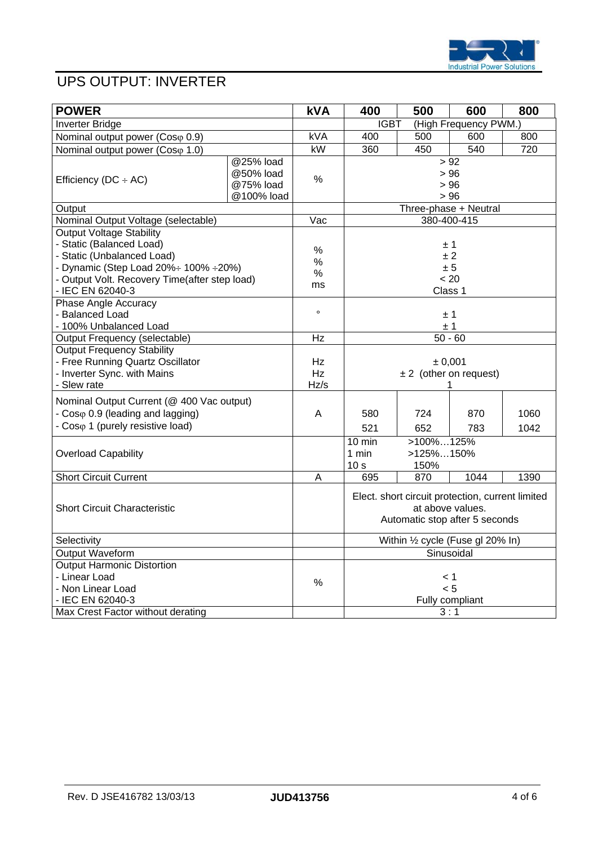

# UPS OUTPUT: INVERTER

| <b>POWER</b>                                  |            | <b>kVA</b> | 400                                  | 500              | 600                                              | 800  |
|-----------------------------------------------|------------|------------|--------------------------------------|------------------|--------------------------------------------------|------|
| Inverter Bridge                               |            |            | <b>IGBT</b><br>(High Frequency PWM.) |                  |                                                  |      |
| Nominal output power (Coso 0.9)               |            | <b>kVA</b> | 400                                  | 500              | 600                                              | 800  |
| Nominal output power (Coso 1.0)               |            | kW         | 360                                  | 450              | 540                                              | 720  |
|                                               | @25% load  |            |                                      |                  | > 92                                             |      |
|                                               | @50% load  | %          | > 96                                 |                  |                                                  |      |
| Efficiency ( $DC \div AC$ )                   | @75% load  |            | > 96                                 |                  |                                                  |      |
|                                               | @100% load |            | > 96                                 |                  |                                                  |      |
| Output                                        |            |            | Three-phase + Neutral                |                  |                                                  |      |
| Nominal Output Voltage (selectable)           |            | Vac        | 380-400-415                          |                  |                                                  |      |
| <b>Output Voltage Stability</b>               |            |            |                                      |                  |                                                  |      |
| - Static (Balanced Load)                      |            |            |                                      |                  | ±1                                               |      |
| - Static (Unbalanced Load)                    |            | %<br>$\%$  | $+2$                                 |                  |                                                  |      |
| - Dynamic (Step Load 20%÷ 100% ÷ 20%)         |            | $\%$       | ± 5                                  |                  |                                                  |      |
| - Output Volt. Recovery Time(after step load) |            | ms         |                                      |                  | < 20                                             |      |
| - IEC EN 62040-3                              |            |            |                                      | Class 1          |                                                  |      |
| Phase Angle Accuracy                          |            |            |                                      |                  |                                                  |      |
| - Balanced Load                               |            | $\circ$    | ± 1                                  |                  |                                                  |      |
| - 100% Unbalanced Load                        |            |            | ±1                                   |                  |                                                  |      |
| Output Frequency (selectable)                 |            | Hz         | $50 - 60$                            |                  |                                                  |      |
| <b>Output Frequency Stability</b>             |            |            |                                      |                  |                                                  |      |
| - Free Running Quartz Oscillator              |            | Hz         | ± 0,001                              |                  |                                                  |      |
| - Inverter Sync. with Mains                   |            | Hz         | $\pm 2$ (other on request)           |                  |                                                  |      |
| - Slew rate                                   |            | Hz/s       |                                      |                  |                                                  |      |
| Nominal Output Current (@ 400 Vac output)     |            |            |                                      |                  |                                                  |      |
| - Coso 0.9 (leading and lagging)              |            | A          | 580                                  | 724              | 870                                              | 1060 |
| - Coso 1 (purely resistive load)              |            |            | 521                                  | 652              | 783                                              | 1042 |
|                                               |            |            | 10 min                               | $>100\%125\%$    |                                                  |      |
| <b>Overload Capability</b>                    |            |            | 1 min                                | >125%150%        |                                                  |      |
|                                               |            |            | 10 <sub>s</sub>                      | 150%             |                                                  |      |
| <b>Short Circuit Current</b>                  |            | A          | 695                                  | 870              | 1044                                             | 1390 |
|                                               |            |            |                                      |                  |                                                  |      |
|                                               |            |            |                                      |                  | Elect. short circuit protection, current limited |      |
| <b>Short Circuit Characteristic</b>           |            |            |                                      | at above values. |                                                  |      |
|                                               |            |            | Automatic stop after 5 seconds       |                  |                                                  |      |
| Selectivity                                   |            |            | Within 1/2 cycle (Fuse gl 20% In)    |                  |                                                  |      |
| Output Waveform                               |            |            | Sinusoidal                           |                  |                                                  |      |
| <b>Output Harmonic Distortion</b>             |            |            |                                      |                  |                                                  |      |
| - Linear Load                                 |            |            | 1 >                                  |                  |                                                  |      |
| - Non Linear Load                             |            | $\%$       | < 5                                  |                  |                                                  |      |
| - IEC EN 62040-3                              |            |            |                                      |                  | Fully compliant                                  |      |
| Max Crest Factor without derating             |            |            |                                      | 3:1              |                                                  |      |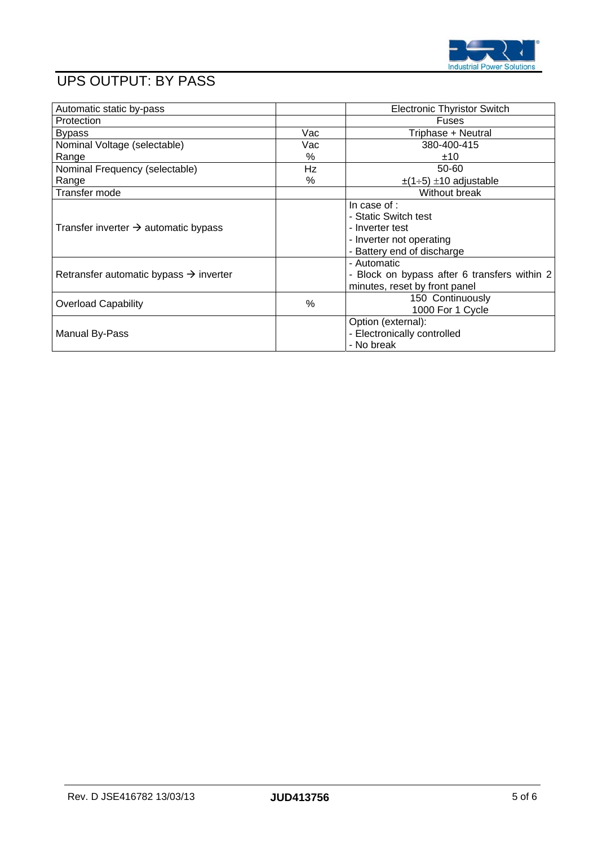

# UPS OUTPUT: BY PASS

| Automatic static by-pass                           |     | <b>Electronic Thyristor Switch</b>                                                                                |
|----------------------------------------------------|-----|-------------------------------------------------------------------------------------------------------------------|
| Protection                                         |     | <b>Fuses</b>                                                                                                      |
| <b>Bypass</b>                                      | Vac | Triphase + Neutral                                                                                                |
| Nominal Voltage (selectable)                       | Vac | 380-400-415                                                                                                       |
| Range                                              | %   | ±10                                                                                                               |
| Nominal Frequency (selectable)                     | Hz  | 50-60                                                                                                             |
| Range                                              | %   | $\pm$ (1÷5) $\pm$ 10 adjustable                                                                                   |
| Transfer mode                                      |     | Without break                                                                                                     |
| Transfer inverter $\rightarrow$ automatic bypass   |     | In case of :<br>- Static Switch test<br>- Inverter test<br>- Inverter not operating<br>- Battery end of discharge |
| Retransfer automatic bypass $\rightarrow$ inverter |     | - Automatic<br>- Block on bypass after 6 transfers within 2<br>minutes, reset by front panel                      |
| <b>Overload Capability</b>                         | %   | 150 Continuously<br>1000 For 1 Cycle                                                                              |
| Manual By-Pass                                     |     | Option (external):<br>- Electronically controlled<br>- No break                                                   |